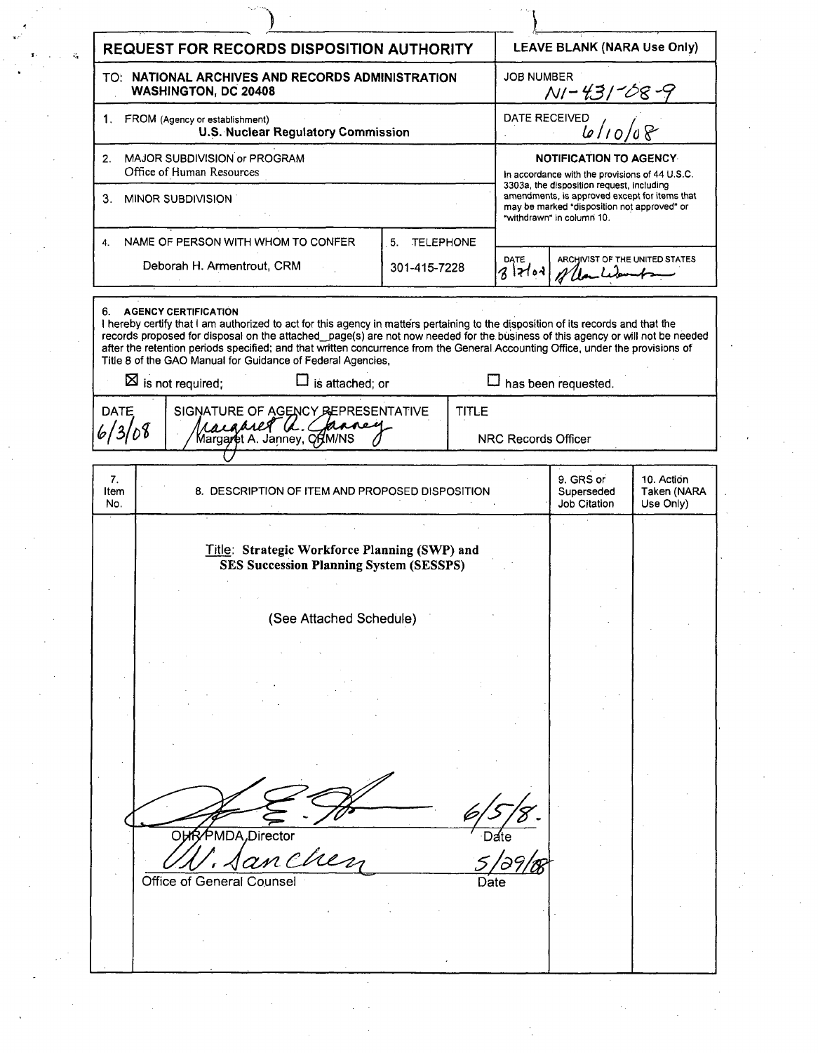| <b>LEAVE BLANK (NARA Use Only)</b><br><b>REQUEST FOR RECORDS DISPOSITION AUTHORITY</b><br>$\mathcal{L}_{\mathcal{A}}$<br><b>JOB NUMBER</b><br>TO: NATIONAL ARCHIVES AND RECORDS ADMINISTRATION<br><u>NI - 431 - 08 - 9</u><br><b>WASHINGTON, DC 20408</b><br>$\frac{10}{6}$ /10/08<br>DATE RECEIVED<br>FROM (Agency or establishment)<br>1.<br><b>U.S. Nuclear Regulatory Commission</b><br>MAJOR SUBDIVISION or PROGRAM<br>NOTIFICATION TO AGENCY<br>2.<br>Office of Human Resources<br>In accordance with the provisions of 44 U.S.C.<br>3303a, the disposition request, including<br>amendments, is approved except for items that<br>3. MINOR SUBDIVISION<br>may be marked "disposition not approved" or<br>"withdrawn" in column 10.<br>NAME OF PERSON WITH WHOM TO CONFER<br>5. TELEPHONE<br>4.<br>DATE<br>ARCHIVIST OF THE UNITED STATES<br>Deborah H. Armentrout, CRM<br>301-415-7228<br>$3$ dod<br>6. AGENCY CERTIFICATION<br>I hereby certify that I am authorized to act for this agency in matters pertaining to the disposition of its records and that the<br>records proposed for disposal on the attached_page(s) are not now needed for the business of this agency or will not be needed<br>after the retention periods specified; and that written concurrence from the General Accounting Office, under the provisions of<br>Title 8 of the GAO Manual for Guidance of Federal Agencies,<br>$\boxtimes$ is not required;<br>$\Box$ is attached; or<br>$\Box$ has been requested.<br>DATE<br>SIGNATURE OF AGENCY BEPRESENTATIVE<br><b>TITLE</b><br>raignet a Chance<br>6/3/08<br>Margaret A. Janney, ORM/NS<br><b>NRC Records Officer</b><br>9. GRS or<br>7.<br>10. Action<br>8. DESCRIPTION OF ITEM AND PROPOSED DISPOSITION<br>Taken (NARA<br>Superseded<br>Item<br>Job Citation<br>Use Only)<br>No.<br>Title: Strategic Workforce Planning (SWP) and<br><b>SES Succession Planning System (SESSPS)</b><br>(See Attached Schedule)<br>∕PMDA,Director<br><b>OHR</b><br>anche<br>Office of General Counsel<br>Date |  |  |  |  |  |  |  |  |  |
|---------------------------------------------------------------------------------------------------------------------------------------------------------------------------------------------------------------------------------------------------------------------------------------------------------------------------------------------------------------------------------------------------------------------------------------------------------------------------------------------------------------------------------------------------------------------------------------------------------------------------------------------------------------------------------------------------------------------------------------------------------------------------------------------------------------------------------------------------------------------------------------------------------------------------------------------------------------------------------------------------------------------------------------------------------------------------------------------------------------------------------------------------------------------------------------------------------------------------------------------------------------------------------------------------------------------------------------------------------------------------------------------------------------------------------------------------------------------------------------------------------------------------------------------------------------------------------------------------------------------------------------------------------------------------------------------------------------------------------------------------------------------------------------------------------------------------------------------------------------------------------------------------------------------------------------------------------------------------------------------------------------------------------------|--|--|--|--|--|--|--|--|--|
|                                                                                                                                                                                                                                                                                                                                                                                                                                                                                                                                                                                                                                                                                                                                                                                                                                                                                                                                                                                                                                                                                                                                                                                                                                                                                                                                                                                                                                                                                                                                                                                                                                                                                                                                                                                                                                                                                                                                                                                                                                       |  |  |  |  |  |  |  |  |  |
|                                                                                                                                                                                                                                                                                                                                                                                                                                                                                                                                                                                                                                                                                                                                                                                                                                                                                                                                                                                                                                                                                                                                                                                                                                                                                                                                                                                                                                                                                                                                                                                                                                                                                                                                                                                                                                                                                                                                                                                                                                       |  |  |  |  |  |  |  |  |  |
|                                                                                                                                                                                                                                                                                                                                                                                                                                                                                                                                                                                                                                                                                                                                                                                                                                                                                                                                                                                                                                                                                                                                                                                                                                                                                                                                                                                                                                                                                                                                                                                                                                                                                                                                                                                                                                                                                                                                                                                                                                       |  |  |  |  |  |  |  |  |  |
|                                                                                                                                                                                                                                                                                                                                                                                                                                                                                                                                                                                                                                                                                                                                                                                                                                                                                                                                                                                                                                                                                                                                                                                                                                                                                                                                                                                                                                                                                                                                                                                                                                                                                                                                                                                                                                                                                                                                                                                                                                       |  |  |  |  |  |  |  |  |  |
|                                                                                                                                                                                                                                                                                                                                                                                                                                                                                                                                                                                                                                                                                                                                                                                                                                                                                                                                                                                                                                                                                                                                                                                                                                                                                                                                                                                                                                                                                                                                                                                                                                                                                                                                                                                                                                                                                                                                                                                                                                       |  |  |  |  |  |  |  |  |  |
|                                                                                                                                                                                                                                                                                                                                                                                                                                                                                                                                                                                                                                                                                                                                                                                                                                                                                                                                                                                                                                                                                                                                                                                                                                                                                                                                                                                                                                                                                                                                                                                                                                                                                                                                                                                                                                                                                                                                                                                                                                       |  |  |  |  |  |  |  |  |  |
|                                                                                                                                                                                                                                                                                                                                                                                                                                                                                                                                                                                                                                                                                                                                                                                                                                                                                                                                                                                                                                                                                                                                                                                                                                                                                                                                                                                                                                                                                                                                                                                                                                                                                                                                                                                                                                                                                                                                                                                                                                       |  |  |  |  |  |  |  |  |  |
|                                                                                                                                                                                                                                                                                                                                                                                                                                                                                                                                                                                                                                                                                                                                                                                                                                                                                                                                                                                                                                                                                                                                                                                                                                                                                                                                                                                                                                                                                                                                                                                                                                                                                                                                                                                                                                                                                                                                                                                                                                       |  |  |  |  |  |  |  |  |  |
|                                                                                                                                                                                                                                                                                                                                                                                                                                                                                                                                                                                                                                                                                                                                                                                                                                                                                                                                                                                                                                                                                                                                                                                                                                                                                                                                                                                                                                                                                                                                                                                                                                                                                                                                                                                                                                                                                                                                                                                                                                       |  |  |  |  |  |  |  |  |  |
|                                                                                                                                                                                                                                                                                                                                                                                                                                                                                                                                                                                                                                                                                                                                                                                                                                                                                                                                                                                                                                                                                                                                                                                                                                                                                                                                                                                                                                                                                                                                                                                                                                                                                                                                                                                                                                                                                                                                                                                                                                       |  |  |  |  |  |  |  |  |  |
|                                                                                                                                                                                                                                                                                                                                                                                                                                                                                                                                                                                                                                                                                                                                                                                                                                                                                                                                                                                                                                                                                                                                                                                                                                                                                                                                                                                                                                                                                                                                                                                                                                                                                                                                                                                                                                                                                                                                                                                                                                       |  |  |  |  |  |  |  |  |  |
|                                                                                                                                                                                                                                                                                                                                                                                                                                                                                                                                                                                                                                                                                                                                                                                                                                                                                                                                                                                                                                                                                                                                                                                                                                                                                                                                                                                                                                                                                                                                                                                                                                                                                                                                                                                                                                                                                                                                                                                                                                       |  |  |  |  |  |  |  |  |  |
|                                                                                                                                                                                                                                                                                                                                                                                                                                                                                                                                                                                                                                                                                                                                                                                                                                                                                                                                                                                                                                                                                                                                                                                                                                                                                                                                                                                                                                                                                                                                                                                                                                                                                                                                                                                                                                                                                                                                                                                                                                       |  |  |  |  |  |  |  |  |  |
|                                                                                                                                                                                                                                                                                                                                                                                                                                                                                                                                                                                                                                                                                                                                                                                                                                                                                                                                                                                                                                                                                                                                                                                                                                                                                                                                                                                                                                                                                                                                                                                                                                                                                                                                                                                                                                                                                                                                                                                                                                       |  |  |  |  |  |  |  |  |  |
|                                                                                                                                                                                                                                                                                                                                                                                                                                                                                                                                                                                                                                                                                                                                                                                                                                                                                                                                                                                                                                                                                                                                                                                                                                                                                                                                                                                                                                                                                                                                                                                                                                                                                                                                                                                                                                                                                                                                                                                                                                       |  |  |  |  |  |  |  |  |  |
|                                                                                                                                                                                                                                                                                                                                                                                                                                                                                                                                                                                                                                                                                                                                                                                                                                                                                                                                                                                                                                                                                                                                                                                                                                                                                                                                                                                                                                                                                                                                                                                                                                                                                                                                                                                                                                                                                                                                                                                                                                       |  |  |  |  |  |  |  |  |  |
|                                                                                                                                                                                                                                                                                                                                                                                                                                                                                                                                                                                                                                                                                                                                                                                                                                                                                                                                                                                                                                                                                                                                                                                                                                                                                                                                                                                                                                                                                                                                                                                                                                                                                                                                                                                                                                                                                                                                                                                                                                       |  |  |  |  |  |  |  |  |  |
|                                                                                                                                                                                                                                                                                                                                                                                                                                                                                                                                                                                                                                                                                                                                                                                                                                                                                                                                                                                                                                                                                                                                                                                                                                                                                                                                                                                                                                                                                                                                                                                                                                                                                                                                                                                                                                                                                                                                                                                                                                       |  |  |  |  |  |  |  |  |  |
|                                                                                                                                                                                                                                                                                                                                                                                                                                                                                                                                                                                                                                                                                                                                                                                                                                                                                                                                                                                                                                                                                                                                                                                                                                                                                                                                                                                                                                                                                                                                                                                                                                                                                                                                                                                                                                                                                                                                                                                                                                       |  |  |  |  |  |  |  |  |  |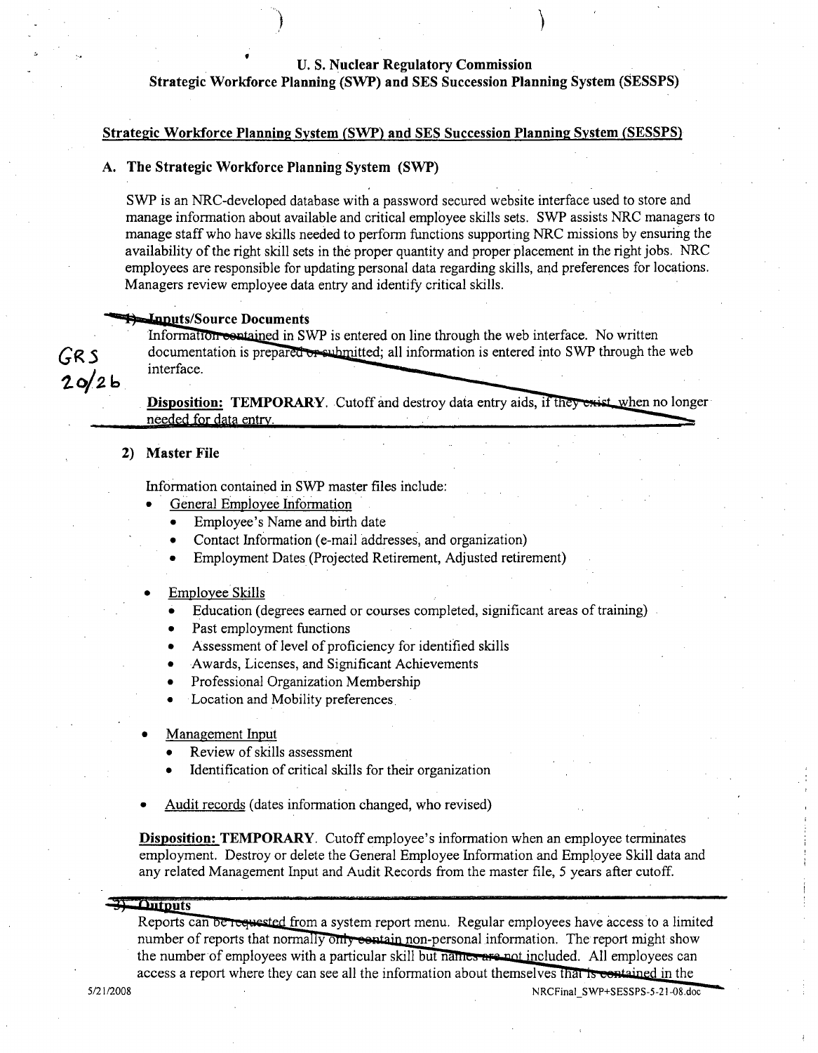# **U. S.** Nuclear Regulatory Commission

Strategic Workforce Planning (SWP) and **SES** Succession Planning System **(SESSPS)**

### Strategic Workforce Plannin2 System (SWP) and **SES** Succession Planning System **(SESSPS)**

## **A.** The Strategic Workforce Planning System (SWP)

**)**

SWP is an NRC-developed database with a password secured website interface used to store and manage information about available and critical employee skills sets. SWP assists NRC managers to manage staff who have skills needed to perform functions supporting NRC missions by ensuring the availability of the right skill sets in the proper quantity and proper placement in the right jobs. NRC employees are responsible for updating personal data regarding skills, and preferences for locations. Managers review employee data entry and identify critical skills.

**Inputs/Source Documents**<br>Information **contained** in SWP is entered on line through the web interface. No written **GRS** documentation is prepared or submitted; all information is entered into SWP through the web interface.

Disposition: TEMPORARY. Cutoff and destroy data entry aids, if they exist when no longer needed for data entry.

## 2) **Master File** 2) Master File

 $20/26$ 

Information contained in SWP master files include:

- General Employee Information
	- Employee's Name and birth date
	- Contact Information (e-mail addresses, and organization)
	- Employment Dates (Projected Retirement, Adjusted retirement)
- Employee Skills
	- Education (degrees earned or courses completed, significant areas of training)
	- Past employment functions
	- Assessment of level of proficiency for identified skills
	- Awards, Licenses, and Significant Achievements
	- Professional Organization Membership
	- Location and Mobility preferences.
- Management Input
	- **0** Review of skills assessment
	- **0** Identification of critical skills for their organization
- Audit records (dates information changed, who revised)

Disposition: TEMPORARY. Cutoff employee's information when an employee terminates employment. Destroy or delete the General Employee Information and Employee Skill data and any related Management Input and Audit Records from the master file, 5 years after cutoff.

#### $3 -$ Outputs

Reports can be requested from a system report menu. Regular employees have access to a limited number of reports that normally only eentain non-personal information. The report might show the number of employees with a particular skill but names are not included. All employees can access a report where they can see all the information about themselves that is contained in the

**5/21/2008** NRCFinal SWP+SESSPS-5-21-08.doc